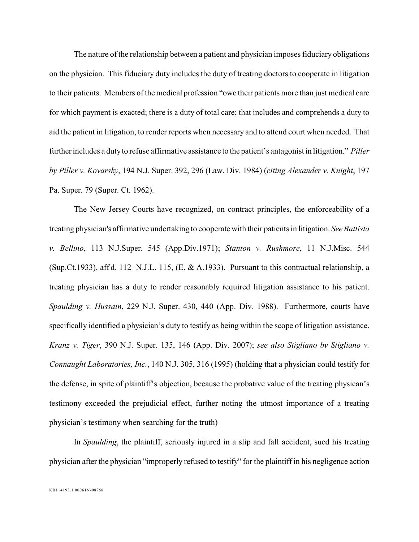The nature of the relationship between a patient and physician imposes fiduciary obligations on the physician. This fiduciary duty includes the duty of treating doctors to cooperate in litigation to their patients. Members of the medical profession "owe their patients more than just medical care for which payment is exacted; there is a duty of total care; that includes and comprehends a duty to aid the patient in litigation, to render reports when necessary and to attend court when needed. That further includes a duty to refuse affirmative assistance to the patient's antagonist in litigation." *Piller by Piller v. Kovarsky*, 194 N.J. Super. 392, 296 (Law. Div. 1984) (*citing Alexander v. Knight*, 197 Pa. Super. 79 (Super. Ct. 1962).

The New Jersey Courts have recognized, on contract principles, the enforceability of a treating physician's affirmative undertaking to cooperate with their patients in litigation. *See Battista v. Bellino*, 113 N.J.Super. 545 (App.Div.1971); *Stanton v. Rushmore*, 11 N.J.Misc. 544 (Sup.Ct.1933), aff'd. 112 N.J.L. 115, (E. & A.1933). Pursuant to this contractual relationship, a treating physician has a duty to render reasonably required litigation assistance to his patient. *Spaulding v. Hussain*, 229 N.J. Super. 430, 440 (App. Div. 1988). Furthermore, courts have specifically identified a physician's duty to testify as being within the scope of litigation assistance. *Kranz v. Tiger*, 390 N.J. Super. 135, 146 (App. Div. 2007); *see also Stigliano by Stigliano v. Connaught Laboratories, Inc.*, 140 N.J. 305, 316 (1995) (holding that a physician could testify for the defense, in spite of plaintiff's objection, because the probative value of the treating physican's testimony exceeded the prejudicial effect, further noting the utmost importance of a treating physician's testimony when searching for the truth)

In *Spaulding*, the plaintiff, seriously injured in a slip and fall accident, sued his treating physician after the physician "improperly refused to testify" for the plaintiff in his negligence action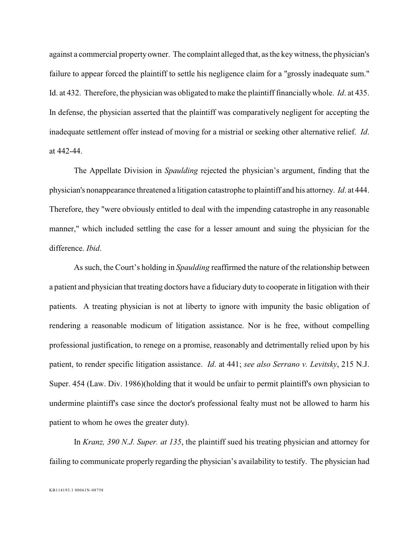against a commercial property owner. The complaint alleged that, asthe key witness, the physician's failure to appear forced the plaintiff to settle his negligence claim for a "grossly inadequate sum." Id. at 432. Therefore, the physician was obligated to make the plaintiff financially whole. *Id*. at 435. In defense, the physician asserted that the plaintiff was comparatively negligent for accepting the inadequate settlement offer instead of moving for a mistrial or seeking other alternative relief. *Id*. at 442-44.

The Appellate Division in *Spaulding* rejected the physician's argument, finding that the physician's nonappearance threatened a litigation catastrophe to plaintiff and his attorney. *Id*. at 444. Therefore, they "were obviously entitled to deal with the impending catastrophe in any reasonable manner," which included settling the case for a lesser amount and suing the physician for the difference. *Ibid*.

As such, the Court's holding in *Spaulding* reaffirmed the nature of the relationship between a patient and physician that treating doctors have a fiduciary duty to cooperate in litigation with their patients. A treating physician is not at liberty to ignore with impunity the basic obligation of rendering a reasonable modicum of litigation assistance. Nor is he free, without compelling professional justification, to renege on a promise, reasonably and detrimentally relied upon by his patient, to render specific litigation assistance. *Id*. at 441; *see also Serrano v. Levitsky*, 215 N.J. Super. 454 (Law. Div. 1986)(holding that it would be unfair to permit plaintiff's own physician to undermine plaintiff's case since the doctor's professional fealty must not be allowed to harm his patient to whom he owes the greater duty).

In *Kranz, 390 N.J. Super. at 135*, the plaintiff sued his treating physician and attorney for failing to communicate properly regarding the physician's availability to testify. The physician had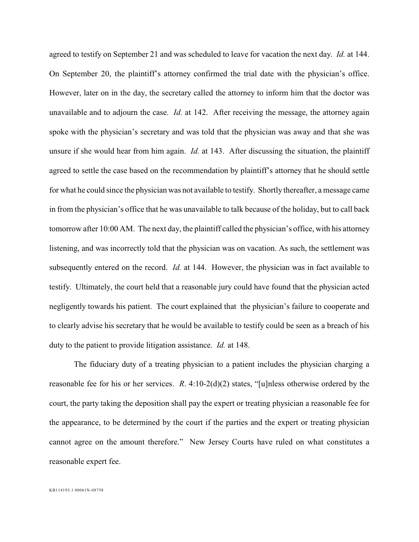agreed to testify on September 21 and was scheduled to leave for vacation the next day. *Id.* at 144. On September 20, the plaintiff's attorney confirmed the trial date with the physician's office. However, later on in the day, the secretary called the attorney to inform him that the doctor was unavailable and to adjourn the case. *Id.* at 142. After receiving the message, the attorney again spoke with the physician's secretary and was told that the physician was away and that she was unsure if she would hear from him again. *Id.* at 143. After discussing the situation, the plaintiff agreed to settle the case based on the recommendation by plaintiff's attorney that he should settle for what he could since the physician was not available to testify. Shortly thereafter, a message came in from the physician's office that he was unavailable to talk because of the holiday, but to call back tomorrow after 10:00 AM. The next day, the plaintiff called the physician's office, with his attorney listening, and was incorrectly told that the physician was on vacation. As such, the settlement was subsequently entered on the record. *Id.* at 144. However, the physician was in fact available to testify. Ultimately, the court held that a reasonable jury could have found that the physician acted negligently towards his patient. The court explained that the physician's failure to cooperate and to clearly advise his secretary that he would be available to testify could be seen as a breach of his duty to the patient to provide litigation assistance. *Id.* at 148.

The fiduciary duty of a treating physician to a patient includes the physician charging a reasonable fee for his or her services. *R*. 4:10-2(d)(2) states, "[u]nless otherwise ordered by the court, the party taking the deposition shall pay the expert or treating physician a reasonable fee for the appearance, to be determined by the court if the parties and the expert or treating physician cannot agree on the amount therefore." New Jersey Courts have ruled on what constitutes a reasonable expert fee.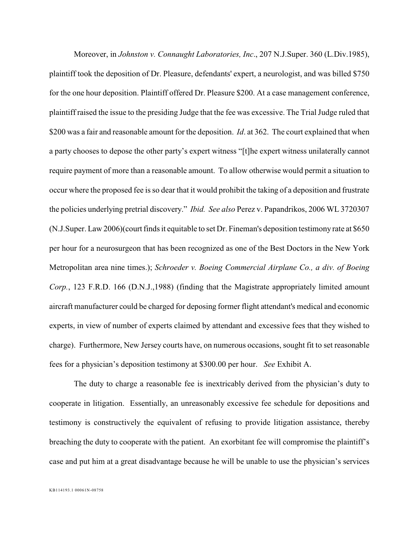Moreover, in *Johnston v. Connaught Laboratories, Inc*., 207 N.J.Super. 360 (L.Div.1985), plaintiff took the deposition of Dr. Pleasure, defendants' expert, a neurologist, and was billed \$750 for the one hour deposition. Plaintiff offered Dr. Pleasure \$200. At a case management conference, plaintiff raised the issue to the presiding Judge that the fee was excessive. The Trial Judge ruled that \$200 was a fair and reasonable amount for the deposition. *Id*. at 362. The court explained that when a party chooses to depose the other party's expert witness "[t]he expert witness unilaterally cannot require payment of more than a reasonable amount. To allow otherwise would permit a situation to occur where the proposed fee is so dear that it would prohibit the taking of a deposition and frustrate the policies underlying pretrial discovery." *Ibid. See also* Perez v. Papandrikos, 2006 WL 3720307 (N.J.Super. Law 2006)(court finds it equitable to set Dr. Fineman's deposition testimony rate at \$650 per hour for a neurosurgeon that has been recognized as one of the Best Doctors in the New York Metropolitan area nine times.); *Schroeder v. Boeing Commercial Airplane Co., a div. of Boeing Corp.*, 123 F.R.D. 166 (D.N.J.,1988) (finding that the Magistrate appropriately limited amount aircraft manufacturer could be charged for deposing former flight attendant's medical and economic experts, in view of number of experts claimed by attendant and excessive fees that they wished to charge). Furthermore, New Jersey courts have, on numerous occasions, sought fit to set reasonable fees for a physician's deposition testimony at \$300.00 per hour. *See* Exhibit A.

The duty to charge a reasonable fee is inextricably derived from the physician's duty to cooperate in litigation. Essentially, an unreasonably excessive fee schedule for depositions and testimony is constructively the equivalent of refusing to provide litigation assistance, thereby breaching the duty to cooperate with the patient. An exorbitant fee will compromise the plaintiff's case and put him at a great disadvantage because he will be unable to use the physician's services